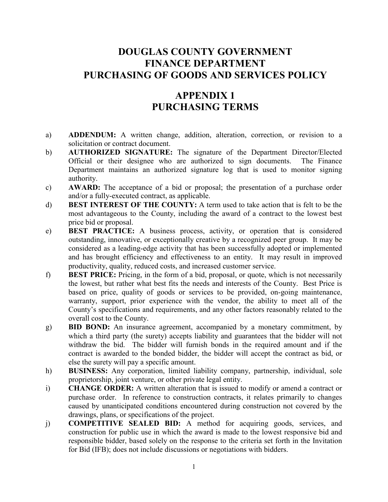## **DOUGLAS COUNTY GOVERNMENT FINANCE DEPARTMENT PURCHASING OF GOODS AND SERVICES POLICY**

## **APPENDIX 1 PURCHASING TERMS**

- a) **ADDENDUM:** A written change, addition, alteration, correction, or revision to a solicitation or contract document.
- b) **AUTHORIZED SIGNATURE:** The signature of the Department Director/Elected Official or their designee who are authorized to sign documents. The Finance Department maintains an authorized signature log that is used to monitor signing authority.
- c) **AWARD:** The acceptance of a bid or proposal; the presentation of a purchase order and/or a fully-executed contract, as applicable.
- d) **BEST INTEREST OF THE COUNTY:** A term used to take action that is felt to be the most advantageous to the County, including the award of a contract to the lowest best price bid or proposal.
- e) **BEST PRACTICE:** A business process, activity, or operation that is considered outstanding, innovative, or exceptionally creative by a recognized peer group. It may be considered as a leading-edge activity that has been successfully adopted or implemented and has brought efficiency and effectiveness to an entity. It may result in improved productivity, quality, reduced costs, and increased customer service.
- f) **BEST PRICE:** Pricing, in the form of a bid, proposal, or quote, which is not necessarily the lowest, but rather what best fits the needs and interests of the County. Best Price is based on price, quality of goods or services to be provided, on-going maintenance, warranty, support, prior experience with the vendor, the ability to meet all of the County's specifications and requirements, and any other factors reasonably related to the overall cost to the County.
- g) **BID BOND:** An insurance agreement, accompanied by a monetary commitment, by which a third party (the surety) accepts liability and guarantees that the bidder will not withdraw the bid. The bidder will furnish bonds in the required amount and if the contract is awarded to the bonded bidder, the bidder will accept the contract as bid, or else the surety will pay a specific amount.
- h) **BUSINESS:** Any corporation, limited liability company, partnership, individual, sole proprietorship, joint venture, or other private legal entity.
- i) **CHANGE ORDER:** A written alteration that is issued to modify or amend a contract or purchase order. In reference to construction contracts, it relates primarily to changes caused by unanticipated conditions encountered during construction not covered by the drawings, plans, or specifications of the project.
- j) **COMPETITIVE SEALED BID:** A method for acquiring goods, services, and construction for public use in which the award is made to the lowest responsive bid and responsible bidder, based solely on the response to the criteria set forth in the Invitation for Bid (IFB); does not include discussions or negotiations with bidders.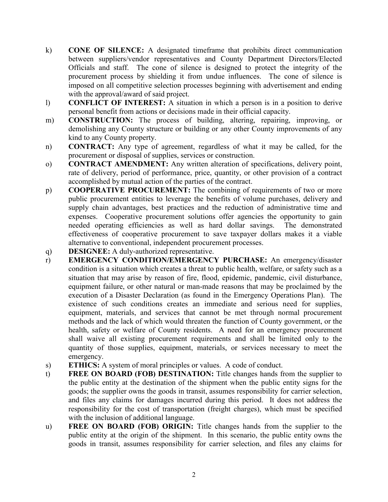- k) **CONE OF SILENCE:** A designated timeframe that prohibits direct communication between suppliers/vendor representatives and County Department Directors/Elected Officials and staff. The cone of silence is designed to protect the integrity of the procurement process by shielding it from undue influences. The cone of silence is imposed on all competitive selection processes beginning with advertisement and ending with the approval/award of said project.
- l) **CONFLICT OF INTEREST:** A situation in which a person is in a position to derive personal benefit from actions or decisions made in their official capacity.
- m) **CONSTRUCTION:** The process of building, altering, repairing, improving, or demolishing any County structure or building or any other County improvements of any kind to any County property.
- n) **CONTRACT:** Any type of agreement, regardless of what it may be called, for the procurement or disposal of supplies, services or construction.
- o) **CONTRACT AMENDMENT:** Any written alteration of specifications, delivery point, rate of delivery, period of performance, price, quantity, or other provision of a contract accomplished by mutual action of the parties of the contract.
- p) **COOPERATIVE PROCUREMENT:** The combining of requirements of two or more public procurement entities to leverage the benefits of volume purchases, delivery and supply chain advantages, best practices and the reduction of administrative time and expenses. Cooperative procurement solutions offer agencies the opportunity to gain needed operating efficiencies as well as hard dollar savings. The demonstrated effectiveness of cooperative procurement to save taxpayer dollars makes it a viable alternative to conventional, independent procurement processes.
- q) **DESIGNEE:** A duly-authorized representative.
- r) **EMERGENCY CONDITION/EMERGENCY PURCHASE:** An emergency/disaster condition is a situation which creates a threat to public health, welfare, or safety such as a situation that may arise by reason of fire, flood, epidemic, pandemic, civil disturbance, equipment failure, or other natural or man-made reasons that may be proclaimed by the execution of a Disaster Declaration (as found in the Emergency Operations Plan). The existence of such conditions creates an immediate and serious need for supplies, equipment, materials, and services that cannot be met through normal procurement methods and the lack of which would threaten the function of County government, or the health, safety or welfare of County residents. A need for an emergency procurement shall waive all existing procurement requirements and shall be limited only to the quantity of those supplies, equipment, materials, or services necessary to meet the emergency.
- s) **ETHICS:** A system of moral principles or values. A code of conduct.
- t) **FREE ON BOARD (FOB) DESTINATION:** Title changes hands from the supplier to the public entity at the destination of the shipment when the public entity signs for the goods; the supplier owns the goods in transit, assumes responsibility for carrier selection, and files any claims for damages incurred during this period. It does not address the responsibility for the cost of transportation (freight charges), which must be specified with the inclusion of additional language.
- u) **FREE ON BOARD (FOB) ORIGIN:** Title changes hands from the supplier to the public entity at the origin of the shipment. In this scenario, the public entity owns the goods in transit, assumes responsibility for carrier selection, and files any claims for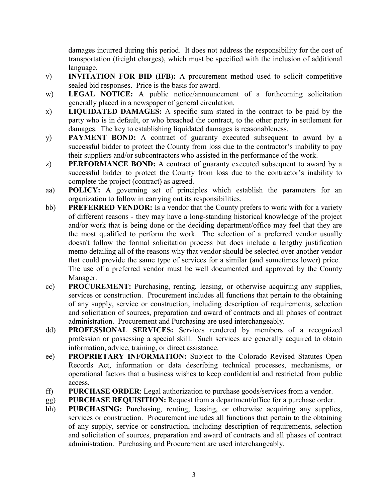damages incurred during this period. It does not address the responsibility for the cost of transportation (freight charges), which must be specified with the inclusion of additional language.

- v) **INVITATION FOR BID (IFB):** A procurement method used to solicit competitive sealed bid responses. Price is the basis for award.
- w) **LEGAL NOTICE:** A public notice/announcement of a forthcoming solicitation generally placed in a newspaper of general circulation.
- x) **LIQUIDATED DAMAGES:** A specific sum stated in the contract to be paid by the party who is in default, or who breached the contract, to the other party in settlement for damages. The key to establishing liquidated damages is reasonableness.
- y) **PAYMENT BOND:** A contract of guaranty executed subsequent to award by a successful bidder to protect the County from loss due to the contractor's inability to pay their suppliers and/or subcontractors who assisted in the performance of the work.
- z) **PERFORMANCE BOND:** A contract of guaranty executed subsequent to award by a successful bidder to protect the County from loss due to the contractor's inability to complete the project (contract) as agreed.
- aa) **POLICY:** A governing set of principles which establish the parameters for an organization to follow in carrying out its responsibilities.
- bb) **PREFERRED VENDOR:** Is a vendor that the County prefers to work with for a variety of different reasons - they may have a long-standing historical knowledge of the project and/or work that is being done or the deciding department/office may feel that they are the most qualified to perform the work. The selection of a preferred vendor usually doesn't follow the formal solicitation process but does include a lengthy justification memo detailing all of the reasons why that vendor should be selected over another vendor that could provide the same type of services for a similar (and sometimes lower) price. The use of a preferred vendor must be well documented and approved by the County Manager.
- cc) **PROCUREMENT:** Purchasing, renting, leasing, or otherwise acquiring any supplies, services or construction. Procurement includes all functions that pertain to the obtaining of any supply, service or construction, including description of requirements, selection and solicitation of sources, preparation and award of contracts and all phases of contract administration. Procurement and Purchasing are used interchangeably.
- dd) **PROFESSIONAL SERVICES:** Services rendered by members of a recognized profession or possessing a special skill. Such services are generally acquired to obtain information, advice, training, or direct assistance.
- ee) **PROPRIETARY INFORMATION:** Subject to the Colorado Revised Statutes Open Records Act, information or data describing technical processes, mechanisms, or operational factors that a business wishes to keep confidential and restricted from public access.
- ff) **PURCHASE ORDER**: Legal authorization to purchase goods/services from a vendor.
- gg) **PURCHASE REQUISITION:** Request from a department/office for a purchase order.
- hh) **PURCHASING:** Purchasing, renting, leasing, or otherwise acquiring any supplies, services or construction. Procurement includes all functions that pertain to the obtaining of any supply, service or construction, including description of requirements, selection and solicitation of sources, preparation and award of contracts and all phases of contract administration. Purchasing and Procurement are used interchangeably.